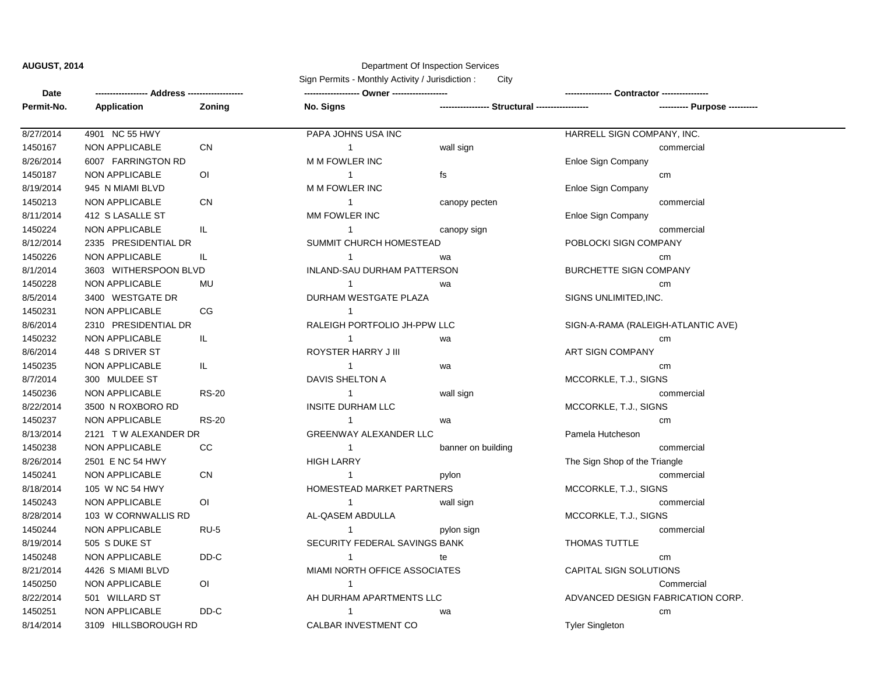## **AUGUST, 2014** Department Of Inspection Services

Sign Permits - Monthly Activity / Jurisdiction : City

| Date       |                       |                | ------------------ Owner ------------------ |                                                 |                                    |  |
|------------|-----------------------|----------------|---------------------------------------------|-------------------------------------------------|------------------------------------|--|
| Permit-No. | Application           | Zoning         | No. Signs                                   | ----------------- Structural ------------------ |                                    |  |
| 8/27/2014  | 4901 NC 55 HWY        |                | PAPA JOHNS USA INC                          |                                                 | HARRELL SIGN COMPANY, INC.         |  |
| 1450167    | NON APPLICABLE        | <b>CN</b>      | $\mathbf{1}$                                | wall sign                                       | commercial                         |  |
| 8/26/2014  | 6007 FARRINGTON RD    |                | M M FOWLER INC                              |                                                 | Enloe Sign Company                 |  |
| 1450187    | NON APPLICABLE        | O <sub>l</sub> | $\mathbf{1}$                                | fs                                              | cm                                 |  |
| 8/19/2014  | 945 N MIAMI BLVD      |                | M M FOWLER INC                              |                                                 | Enloe Sign Company                 |  |
| 1450213    | NON APPLICABLE        | <b>CN</b>      | $\mathbf{1}$                                | canopy pecten                                   | commercial                         |  |
| 8/11/2014  | 412 S LASALLE ST      |                | MM FOWLER INC                               |                                                 | <b>Enloe Sign Company</b>          |  |
| 1450224    | NON APPLICABLE        | IL             | $\mathbf{1}$                                | canopy sign                                     | commercial                         |  |
| 8/12/2014  | 2335 PRESIDENTIAL DR  |                | SUMMIT CHURCH HOMESTEAD                     |                                                 | POBLOCKI SIGN COMPANY              |  |
| 1450226    | NON APPLICABLE        | IL.            | $\overline{1}$                              | wa                                              | cm <sub>2</sub>                    |  |
| 8/1/2014   | 3603 WITHERSPOON BLVD |                | INLAND-SAU DURHAM PATTERSON                 |                                                 | <b>BURCHETTE SIGN COMPANY</b>      |  |
| 1450228    | NON APPLICABLE        | MU             | $\overline{1}$                              | wa                                              | cm                                 |  |
| 8/5/2014   | 3400 WESTGATE DR      |                | DURHAM WESTGATE PLAZA                       |                                                 | SIGNS UNLIMITED, INC.              |  |
| 1450231    | NON APPLICABLE        | <b>CG</b>      | $\mathbf{1}$                                |                                                 |                                    |  |
| 8/6/2014   | 2310 PRESIDENTIAL DR  |                | RALEIGH PORTFOLIO JH-PPW LLC                |                                                 | SIGN-A-RAMA (RALEIGH-ATLANTIC AVE) |  |
| 1450232    | NON APPLICABLE        | IL.            | $\mathbf{1}$                                | wa                                              | cm                                 |  |
| 8/6/2014   | 448 S DRIVER ST       |                | ROYSTER HARRY J III                         |                                                 | <b>ART SIGN COMPANY</b>            |  |
| 1450235    | NON APPLICABLE        | IL.            | $\mathbf{1}$                                | wa                                              | cm                                 |  |
| 8/7/2014   | 300 MULDEE ST         |                | DAVIS SHELTON A                             |                                                 | MCCORKLE, T.J., SIGNS              |  |
| 1450236    | NON APPLICABLE        | <b>RS-20</b>   | $\mathbf{1}$                                | wall sign                                       | commercial                         |  |
| 8/22/2014  | 3500 N ROXBORO RD     |                | <b>INSITE DURHAM LLC</b>                    |                                                 | MCCORKLE, T.J., SIGNS              |  |
| 1450237    | NON APPLICABLE        | <b>RS-20</b>   | $\mathbf{1}$                                | wa                                              | cm <sub>2</sub>                    |  |
| 8/13/2014  | 2121 TW ALEXANDER DR  |                | <b>GREENWAY ALEXANDER LLC</b>               |                                                 | Pamela Hutcheson                   |  |
| 1450238    | NON APPLICABLE        | CC             | $\mathbf{1}$                                | banner on building                              | commercial                         |  |
| 8/26/2014  | 2501 E NC 54 HWY      |                | <b>HIGH LARRY</b>                           |                                                 | The Sign Shop of the Triangle      |  |
| 1450241    | NON APPLICABLE        | <b>CN</b>      | $\overline{1}$                              | pylon                                           | commercial                         |  |
| 8/18/2014  | 105 W NC 54 HWY       |                | HOMESTEAD MARKET PARTNERS                   |                                                 | MCCORKLE, T.J., SIGNS              |  |
| 1450243    | NON APPLICABLE        | O <sub>1</sub> | $\overline{1}$                              | wall sign                                       | commercial                         |  |
| 8/28/2014  | 103 W CORNWALLIS RD   |                | AL-QASEM ABDULLA                            |                                                 | MCCORKLE, T.J., SIGNS              |  |
| 1450244    | NON APPLICABLE        | $RU-5$         | $\mathbf{1}$                                | pylon sign                                      | commercial                         |  |
| 8/19/2014  | 505 S DUKE ST         |                | SECURITY FEDERAL SAVINGS BANK               |                                                 | <b>THOMAS TUTTLE</b>               |  |
| 1450248    | NON APPLICABLE        | DD-C           | $\overline{1}$                              | te                                              | cm                                 |  |
| 8/21/2014  | 4426 S MIAMI BLVD     |                | MIAMI NORTH OFFICE ASSOCIATES               |                                                 | CAPITAL SIGN SOLUTIONS             |  |
| 1450250    | NON APPLICABLE        | $\overline{O}$ | $\mathbf{1}$                                |                                                 | Commercial                         |  |
| 8/22/2014  | 501 WILLARD ST        |                | AH DURHAM APARTMENTS LLC                    |                                                 | ADVANCED DESIGN FABRICATION CORP.  |  |
| 1450251    | NON APPLICABLE        | DD-C           | $\mathbf{1}$                                | wa                                              | cm                                 |  |
| 8/14/2014  | 3109 HILLSBOROUGH RD  |                | CALBAR INVESTMENT CO                        |                                                 | <b>Tyler Singleton</b>             |  |